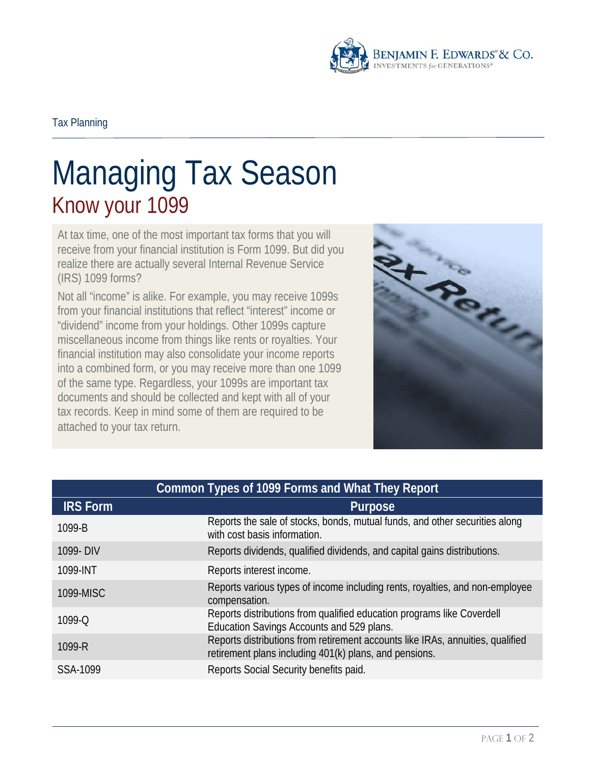

## Managing Tax Season Know your 1099

At tax time, one of the most important tax forms that you will receive from your financial institution is Form 1099. But did you realize there are actually several Internal Revenue Service (IRS) 1099 forms?

Not all "income" is alike. For example, you may receive 1099s from your financial institutions that reflect "interest" income or "dividend" income from your holdings. Other 1099s capture miscellaneous income from things like rents or royalties. Your financial institution may also consolidate your income reports into a combined form, or you may receive more than one 1099 of the same type. Regardless, your 1099s are important tax documents and should be collected and kept with all of your tax records. Keep in mind some of them are required to be attached to your tax return.



| Common Types of 1099 Forms and What They Report |                                                                                                                                          |
|-------------------------------------------------|------------------------------------------------------------------------------------------------------------------------------------------|
| <b>IRS Form</b>                                 | <b>Purpose</b>                                                                                                                           |
| 1099-B                                          | Reports the sale of stocks, bonds, mutual funds, and other securities along<br>with cost basis information.                              |
| 1099- DIV                                       | Reports dividends, qualified dividends, and capital gains distributions.                                                                 |
| 1099-INT                                        | Reports interest income.                                                                                                                 |
| 1099-MISC                                       | Reports various types of income including rents, royalties, and non-employee<br>compensation.                                            |
| 1099-Q                                          | Reports distributions from qualified education programs like Coverdell<br>Education Savings Accounts and 529 plans.                      |
| 1099-R                                          | Reports distributions from retirement accounts like IRAs, annuities, qualified<br>retirement plans including 401(k) plans, and pensions. |
| SSA-1099                                        | Reports Social Security benefits paid.                                                                                                   |